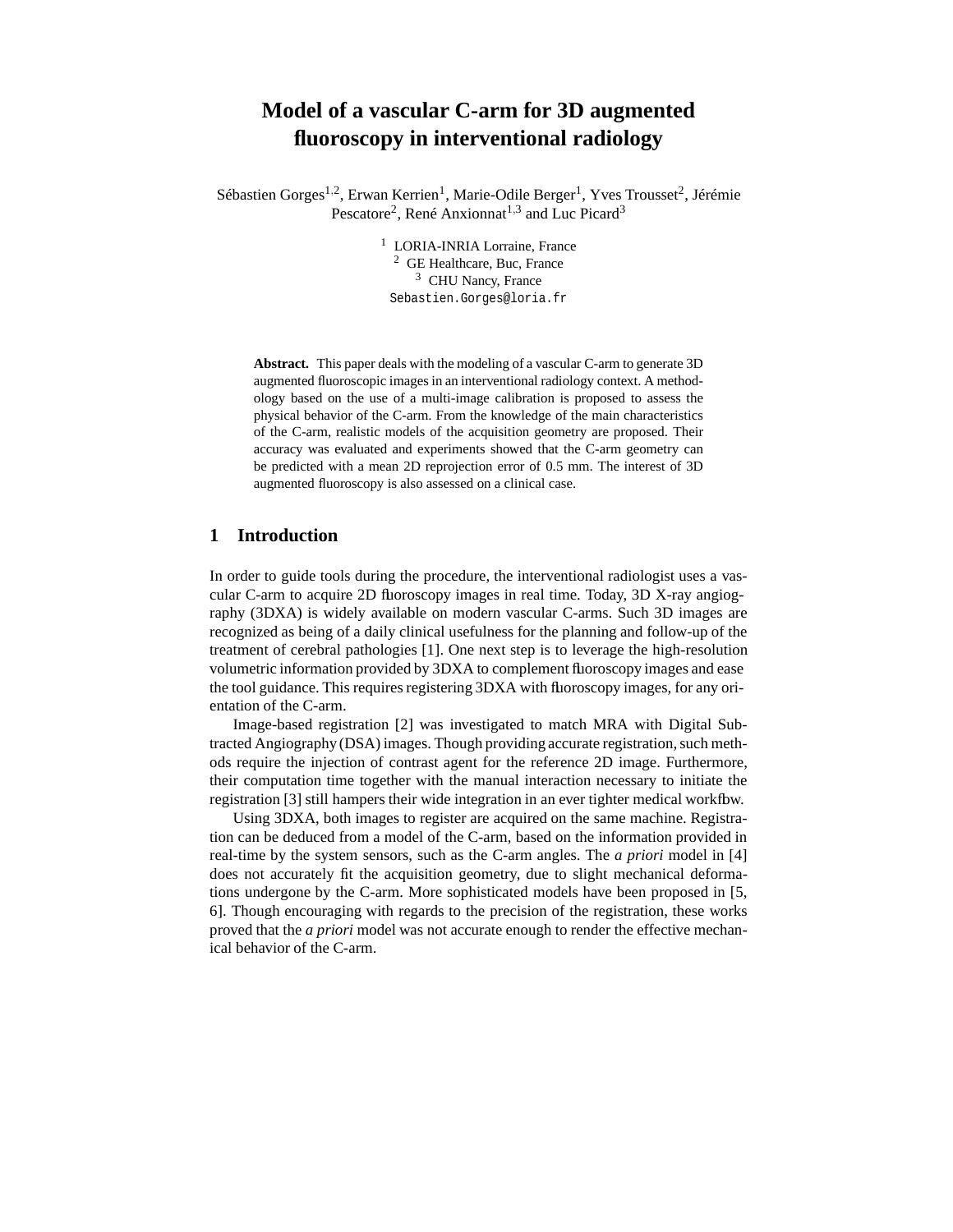# **Model of a vascular C-arm for 3D augmented fluoroscopy in interventional radiology**

Sébastien Gorges<sup>1,2</sup>, Erwan Kerrien<sup>1</sup>, Marie-Odile Berger<sup>1</sup>, Yves Trousset<sup>2</sup>, Jérémie Pescatore<sup>2</sup>, René Anxionnat<sup>1,3</sup> and Luc Picard<sup>3</sup>

> <sup>1</sup> LORIA-INRIA Lorraine, France <sup>2</sup> GE Healthcare, Buc, France <sup>3</sup> CHU Nancy, France Sebastien.Gorges@loria.fr

**Abstract.** This paper deals with the modeling of a vascular C-arm to generate 3D augmented fluoroscopic images in an interventional radiology context. A methodology based on the use of a multi-image calibration is proposed to assess the physical behavior of the C-arm. From the knowledge of the main characteristics of the C-arm, realistic models of the acquisition geometry are proposed. Their accuracy was evaluated and experiments showed that the C-arm geometry can be predicted with a mean 2D reprojection error of 0.5 mm. The interest of 3D augmented fluoroscopy is also assessed on a clinical case.

# **1 Introduction**

In order to guide tools during the procedure, the interventional radiologist uses a vascular C-arm to acquire 2D fluoroscopy images in real time. Today, 3D X-ray angiography (3DXA) is widely available on modern vascular C-arms. Such 3D images are recognized as being of a daily clinical usefulness for the planning and follow-up of the treatment of cerebral pathologies [1]. One next step is to leverage the high-resolution volumetric information provided by 3DXA to complement fluoroscopy images and ease the tool guidance. This requires registering 3DXA with fluoroscopy images, for any orientation of the C-arm.

Image-based registration [2] was investigated to match MRA with Digital Subtracted Angiography (DSA) images. Though providing accurate registration, such methods require the injection of contrast agent for the reference 2D image. Furthermore, their computation time together with the manual interaction necessary to initiate the registration [3] still hampers their wide integration in an ever tighter medical workflow.

Using 3DXA, both images to register are acquired on the same machine. Registration can be deduced from a model of the C-arm, based on the information provided in real-time by the system sensors, such as the C-arm angles. The *a priori* model in [4] does not accurately fit the acquisition geometry, due to slight mechanical deformations undergone by the C-arm. More sophisticated models have been proposed in [5, 6]. Though encouraging with regards to the precision of the registration, these works proved that the *a priori* model was not accurate enough to render the effective mechanical behavior of the C-arm.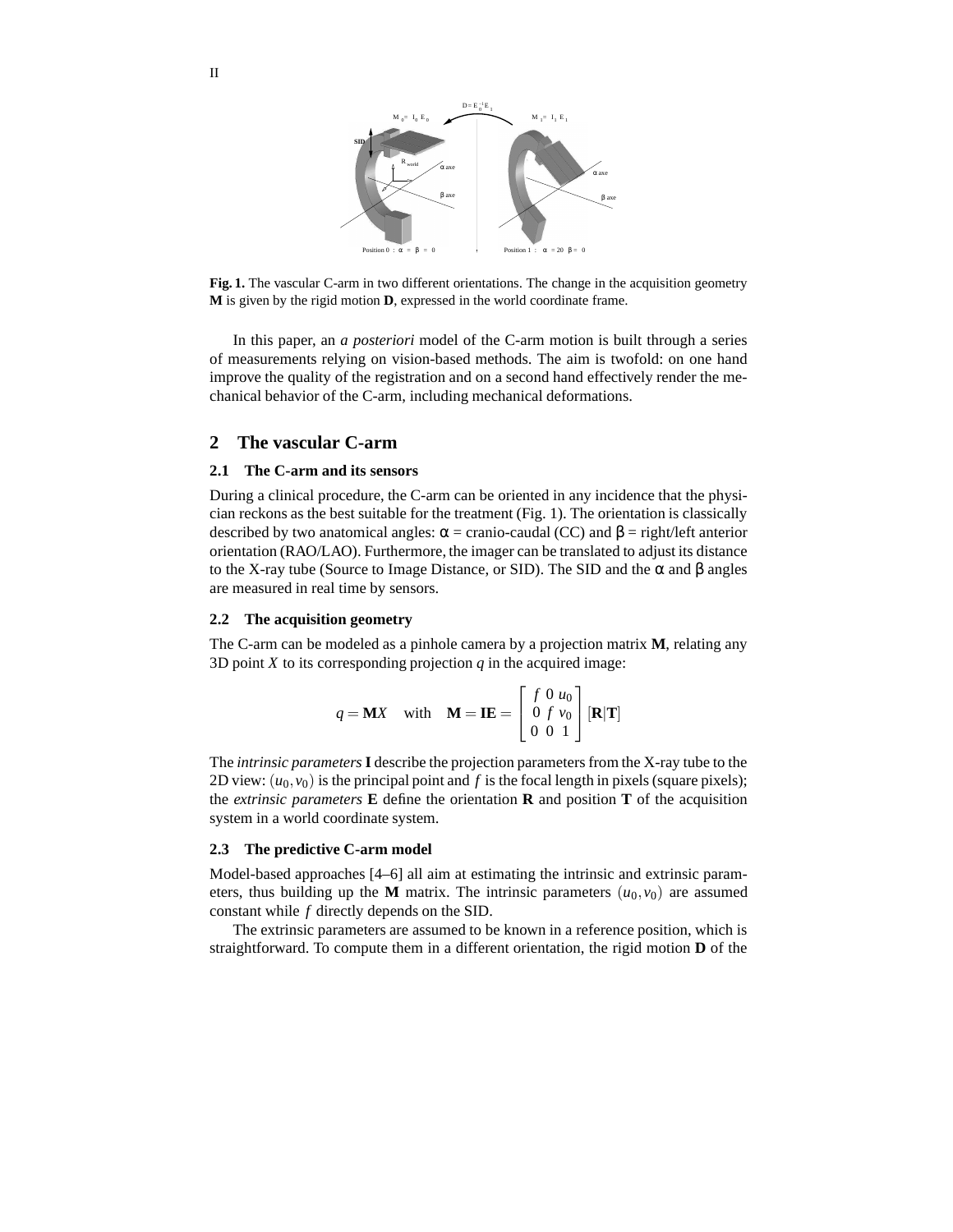

**Fig. 1.** The vascular C-arm in two different orientations. The change in the acquisition geometry **M** is given by the rigid motion **D**, expressed in the world coordinate frame.

In this paper, an *a posteriori* model of the C-arm motion is built through a series of measurements relying on vision-based methods. The aim is twofold: on one hand improve the quality of the registration and on a second hand effectively render the mechanical behavior of the C-arm, including mechanical deformations.

# **2 The vascular C-arm**

## **2.1 The C-arm and its sensors**

During a clinical procedure, the C-arm can be oriented in any incidence that the physician reckons as the best suitable for the treatment (Fig. 1). The orientation is classically described by two anatomical angles:  $\alpha$  = cranio-caudal (CC) and  $\beta$  = right/left anterior orientation (RAO/LAO). Furthermore, the imager can be translated to adjust its distance to the X-ray tube (Source to Image Distance, or SID). The SID and the α and β angles are measured in real time by sensors.

### **2.2 The acquisition geometry**

The C-arm can be modeled as a pinhole camera by a projection matrix **M**, relating any 3D point  $X$  to its corresponding projection  $q$  in the acquired image:

$$
q = \mathbf{M}X \quad \text{with} \quad \mathbf{M} = \mathbf{I}\mathbf{E} = \begin{bmatrix} f & 0 & u_0 \\ 0 & f & v_0 \\ 0 & 0 & 1 \end{bmatrix} [\mathbf{R}|\mathbf{T}]
$$

The *intrinsic parameters* **I** describe the projection parameters from the X-ray tube to the 2D view:  $(u_0, v_0)$  is the principal point and f is the focal length in pixels (square pixels); the *extrinsic* parameters **E** define the orientation **R** and position **T** of the acquisition system in a world coordinate system.

### **2.3 The predictive C-arm model**

Model-based approaches [4–6] all aim at estimating the intrinsic and extrinsic parameters, thus building up the **M** matrix. The intrinsic parameters  $(u_0, v_0)$  are assumed constant while *f* directly depends on the SID.

The extrinsic parameters are assumed to be known in a reference position, which is straightforward. To compute them in a different orientation, the rigid motion **D** of the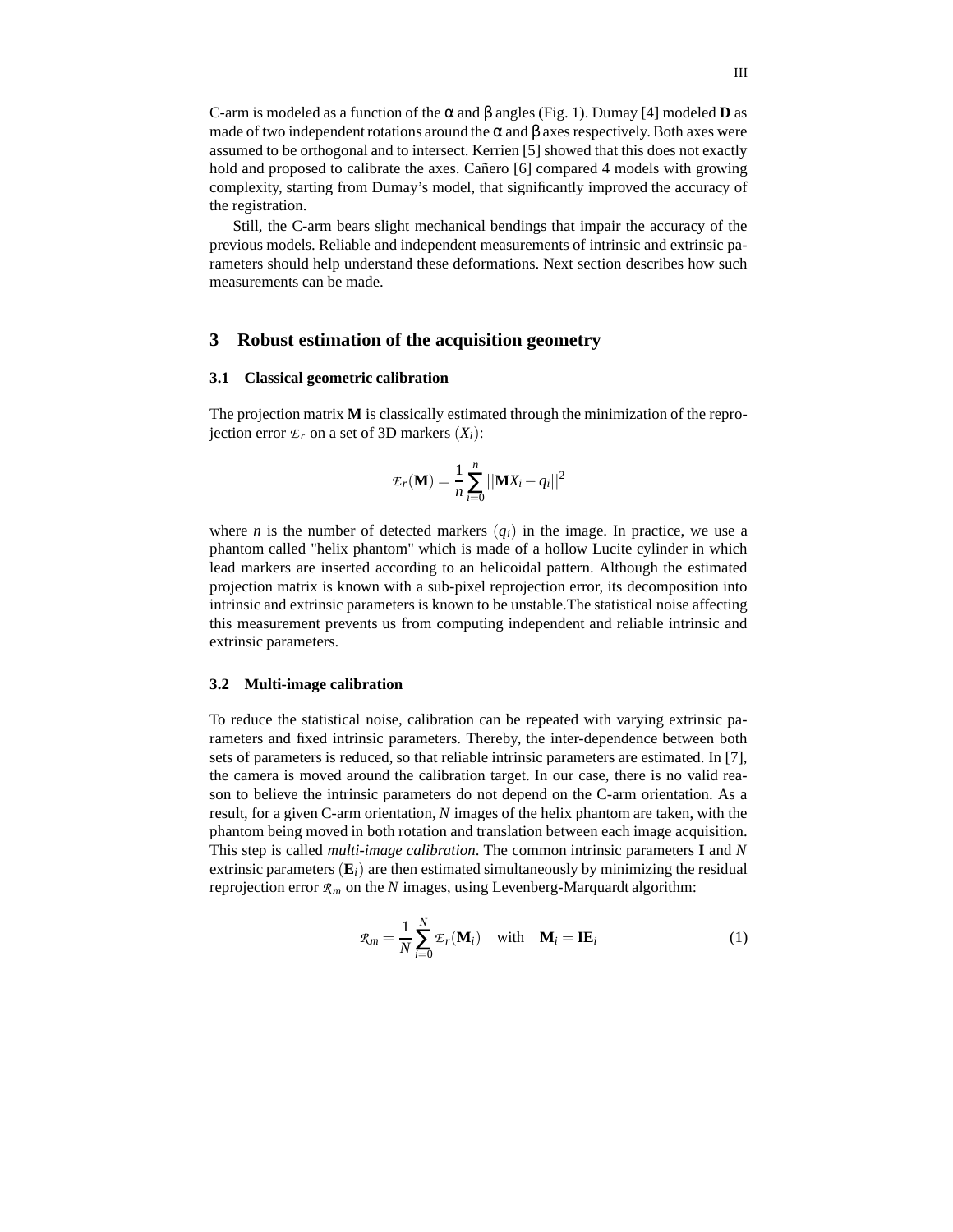C-arm is modeled as a function of the α and β angles (Fig. 1). Dumay [4] modeled **D** as made of two independent rotations around the  $\alpha$  and  $\beta$  axes respectively. Both axes were assumed to be orthogonal and to intersect. Kerrien [5] showed that this does not exactly hold and proposed to calibrate the axes. Cañero [6] compared 4 models with growing complexity, starting from Dumay's model, that significantly improved the accuracy of the registration.

Still, the C-arm bears slight mechanical bendings that impair the accuracy of the previous models. Reliable and independent measurements of intrinsic and extrinsic parameters should help understand these deformations. Next section describes how such measurements can be made.

# **3 Robust estimation of the acquisition geometry**

### **3.1 Classical geometric calibration**

The projection matrix **M** is classically estimated through the minimization of the reprojection error  $\mathcal{E}_r$  on a set of 3D markers  $(X_i)$ :

$$
\mathcal{E}_r(\mathbf{M}) = \frac{1}{n} \sum_{i=0}^n ||\mathbf{M} X_i - q_i||^2
$$

where *n* is the number of detected markers  $(q_i)$  in the image. In practice, we use a phantom called "helix phantom" which is made of a hollow Lucite cylinder in which lead markers are inserted according to an helicoidal pattern. Although the estimated projection matrix is known with a sub-pixel reprojection error, its decomposition into intrinsic and extrinsic parameters is known to be unstable.The statistical noise affecting this measurement prevents us from computing independent and reliable intrinsic and extrinsic parameters.

#### **3.2 Multi-image calibration**

To reduce the statistical noise, calibration can be repeated with varying extrinsic parameters and fixed intrinsic parameters. Thereby, the inter-dependence between both sets of parameters is reduced, so that reliable intrinsic parameters are estimated. In [7], the camera is moved around the calibration target. In our case, there is no valid reason to believe the intrinsic parameters do not depend on the C-arm orientation. As a result, for a given C-arm orientation, *N* images of the helix phantom are taken, with the phantom being moved in both rotation and translation between each image acquisition. This step is called *multi-image calibration*. The common intrinsic parameters **I** and *N* extrinsic parameters  $(E_i)$  are then estimated simultaneously by minimizing the residual reprojection error *R<sup>m</sup>* on the *N* images, using Levenberg-Marquardt algorithm:

$$
\mathcal{R}_m = \frac{1}{N} \sum_{i=0}^{N} \mathcal{E}_r(\mathbf{M}_i) \quad \text{with} \quad \mathbf{M}_i = \mathbf{I} \mathbf{E}_i \tag{1}
$$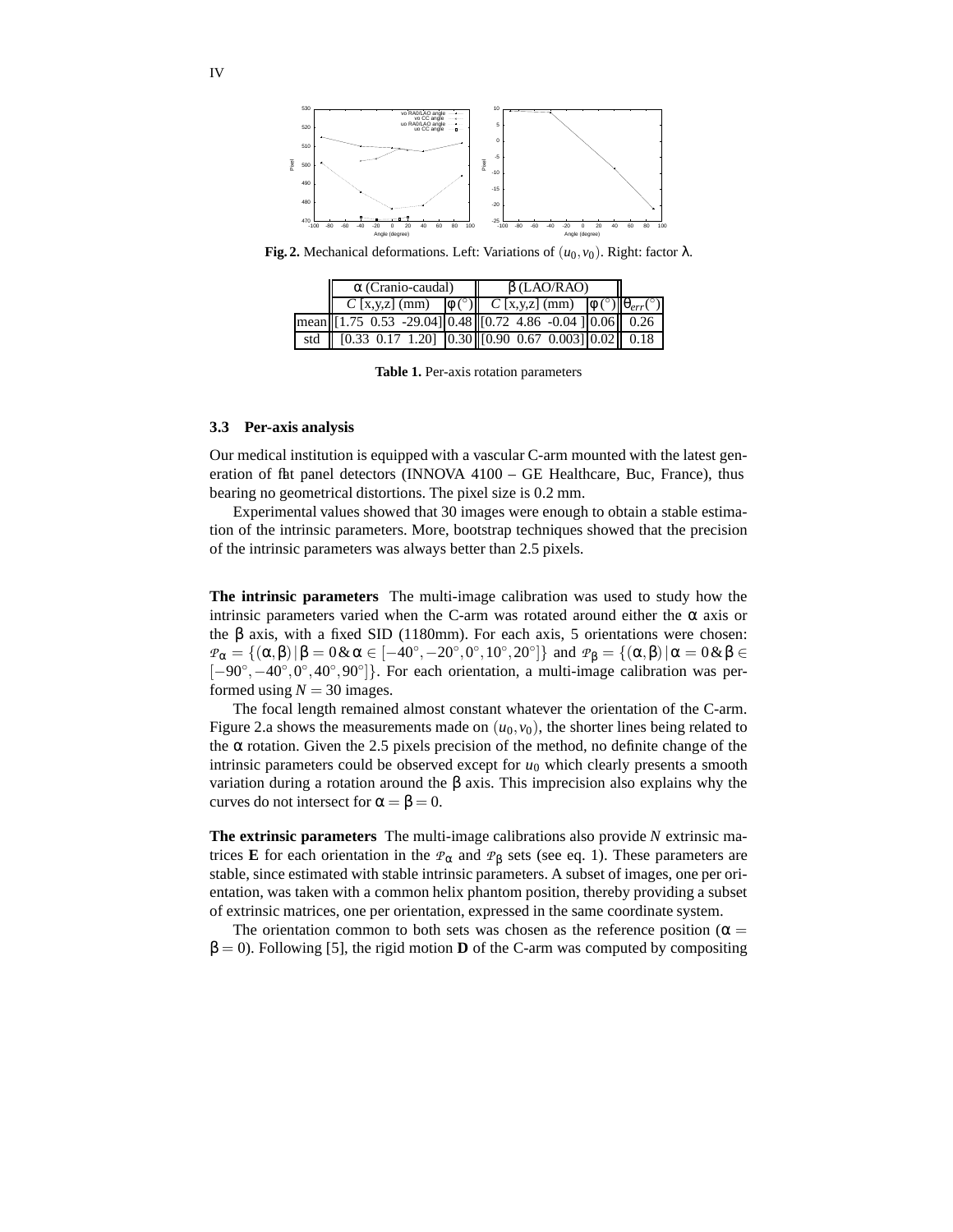

**Fig. 2.** Mechanical deformations. Left: Variations of  $(u_0, v_0)$ . Right: factor λ.

| $\alpha$ (Cranio-caudal)                                                                                                                               | $\beta$ (LAO/RAO) |  |  |  |
|--------------------------------------------------------------------------------------------------------------------------------------------------------|-------------------|--|--|--|
| $C$ [x,y,z] (mm) $\phi$ (°) $C$ [x,y,z] (mm) $\phi$ (°) $\theta_{err}$ (°)                                                                             |                   |  |  |  |
| $\frac{1}{2}$ mean [1.75 0.53 -29.04] 0.48 [0.72 4.86 -0.04 ] 0.06 [0.26                                                                               |                   |  |  |  |
| std $\begin{bmatrix} 0.33 & 0.17 & 1.20 \end{bmatrix}$ $\begin{bmatrix} 0.30 & 0.67 & 0.003 \end{bmatrix}$ $\begin{bmatrix} 0.02 & 0.18 \end{bmatrix}$ |                   |  |  |  |

**Table 1.** Per-axis rotation parameters

## **3.3 Per-axis analysis**

Our medical institution is equipped with a vascular C-arm mounted with the latest generation of flat panel detectors (INNOVA  $4100 - GE$  Healthcare, Buc, France), thus bearing no geometrical distortions. The pixel size is 0.2 mm.

Experimental values showed that 30 images were enough to obtain a stable estimation of the intrinsic parameters. More, bootstrap techniques showed that the precision of the intrinsic parameters was always better than 2.5 pixels.

**The intrinsic parameters** The multi-image calibration was used to study how the intrinsic parameters varied when the C-arm was rotated around either the  $\alpha$  axis or the β axis, with a fixed SID (1180mm). For each axis, 5 orientations were chosen:  $P_{\alpha} = \{(\alpha, \beta) | \beta = 0 \& \alpha \in [-40^{\circ}, -20^{\circ}, 0^{\circ}, 10^{\circ}, 20^{\circ}] \}$  and  $P_{\beta} = \{(\alpha, \beta) | \alpha = 0 \& \beta \in$ [-90°, -40°, 0°, 40°, 90°]}. For each orientation, a multi-image calibration was performed using  $N = 30$  images.

The focal length remained almost constant whatever the orientation of the C-arm. Figure 2.a shows the measurements made on  $(u_0, v_0)$ , the shorter lines being related to the  $\alpha$  rotation. Given the 2.5 pixels precision of the method, no definite change of the intrinsic parameters could be observed except for  $u_0$  which clearly presents a smooth variation during a rotation around the β axis. This imprecision also explains why the curves do not intersect for  $\alpha = \beta = 0$ .

**The extrinsic parameters** The multi-image calibrations also provide *N* extrinsic matrices **E** for each orientation in the  $P_\alpha$  and  $P_\beta$  sets (see eq. 1). These parameters are stable, since estimated with stable intrinsic parameters. A subset of images, one per orientation, was taken with a common helix phantom position, thereby providing a subset of extrinsic matrices, one per orientation, expressed in the same coordinate system.

The orientation common to both sets was chosen as the reference position ( $\alpha$  =  $\beta = 0$ ). Following [5], the rigid motion **D** of the C-arm was computed by compositing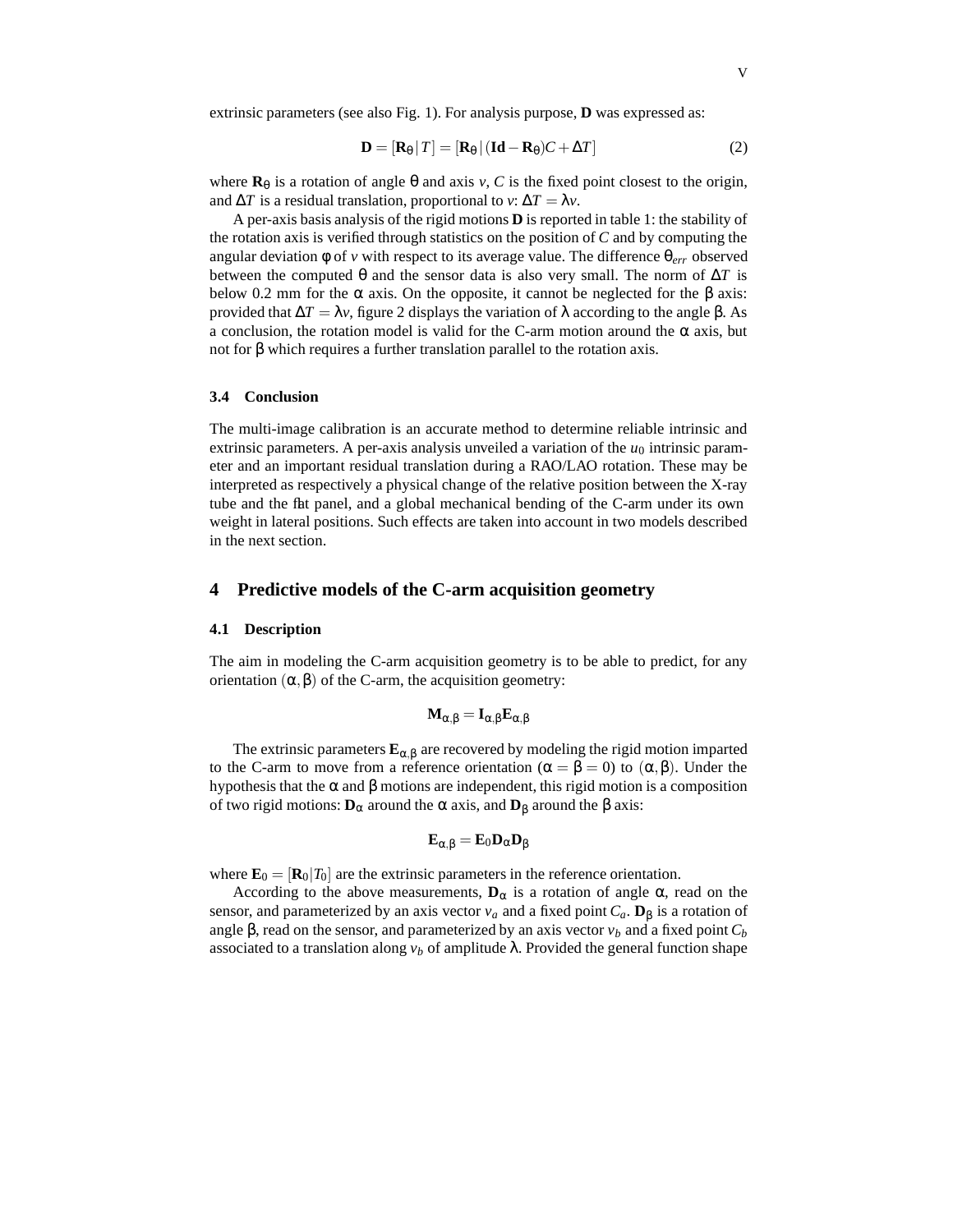extrinsic parameters (see also Fig. 1). For analysis purpose, **D** was expressed as:

$$
\mathbf{D} = [\mathbf{R}_{\theta} | T] = [\mathbf{R}_{\theta} | (\mathbf{Id} - \mathbf{R}_{\theta})C + \Delta T]
$$
 (2)

where  $\mathbf{R}_{\theta}$  is a rotation of angle  $\theta$  and axis *v*, *C* is the fixed point closest to the origin, and  $\Delta T$  is a residual translation, proportional to *v*:  $\Delta T = \lambda v$ .

A per-axis basis analysis of the rigid motions **D** is reported in table 1: the stability of the rotation axis is verified through statistics on the position of *C* and by computing the angular deviation φ of *v* with respect to its average value. The difference θ*err* observed between the computed  $\theta$  and the sensor data is also very small. The norm of  $\Delta T$  is below 0.2 mm for the  $\alpha$  axis. On the opposite, it cannot be neglected for the  $\beta$  axis: provided that ∆*T* = λ*v*, figure 2 displays the variation of λ according to the angle β. As a conclusion, the rotation model is valid for the C-arm motion around the  $\alpha$  axis, but not for β which requires a further translation parallel to the rotation axis.

#### **3.4 Conclusion**

The multi-image calibration is an accurate method to determine reliable intrinsic and extrinsic parameters. A per-axis analysis unveiled a variation of the  $u_0$  intrinsic parameter and an important residual translation during a RAO/LAO rotation. These may be interpreted as respectively a physical change of the relative position between the X-ray tube and the flat panel, and a global mechanical bending of the C-arm under its own weight in lateral positions. Such effects are taken into account in two models described in the next section.

# **4 Predictive models of the C-arm acquisition geometry**

#### **4.1 Description**

The aim in modeling the C-arm acquisition geometry is to be able to predict, for any orientation  $(α, β)$  of the C-arm, the acquisition geometry:

$$
M_{\alpha,\beta}=I_{\alpha,\beta}E_{\alpha,\beta}
$$

The extrinsic parameters  $\mathbf{E}_{\alpha,\beta}$  are recovered by modeling the rigid motion imparted to the C-arm to move from a reference orientation ( $\alpha = \beta = 0$ ) to ( $\alpha, \beta$ ). Under the hypothesis that the  $\alpha$  and  $\beta$  motions are independent, this rigid motion is a composition of two rigid motions: **D**<sup>α</sup> around the α axis, and **D**<sup>β</sup> around the β axis:

$$
E_{\alpha,\beta}=E_0D_\alpha D_\beta
$$

where  $\mathbf{E}_0 = [\mathbf{R}_0 | T_0]$  are the extrinsic parameters in the reference orientation.

According to the above measurements,  $\mathbf{D}_{\alpha}$  is a rotation of angle  $\alpha$ , read on the sensor, and parameterized by an axis vector  $v_a$  and a fixed point  $C_a$ .  $\mathbf{D}_{\beta}$  is a rotation of angle β, read on the sensor, and parameterized by an axis vector  $v_b$  and a fixed point  $C_b$ associated to a translation along  $v<sub>b</sub>$  of amplitude  $\lambda$ . Provided the general function shape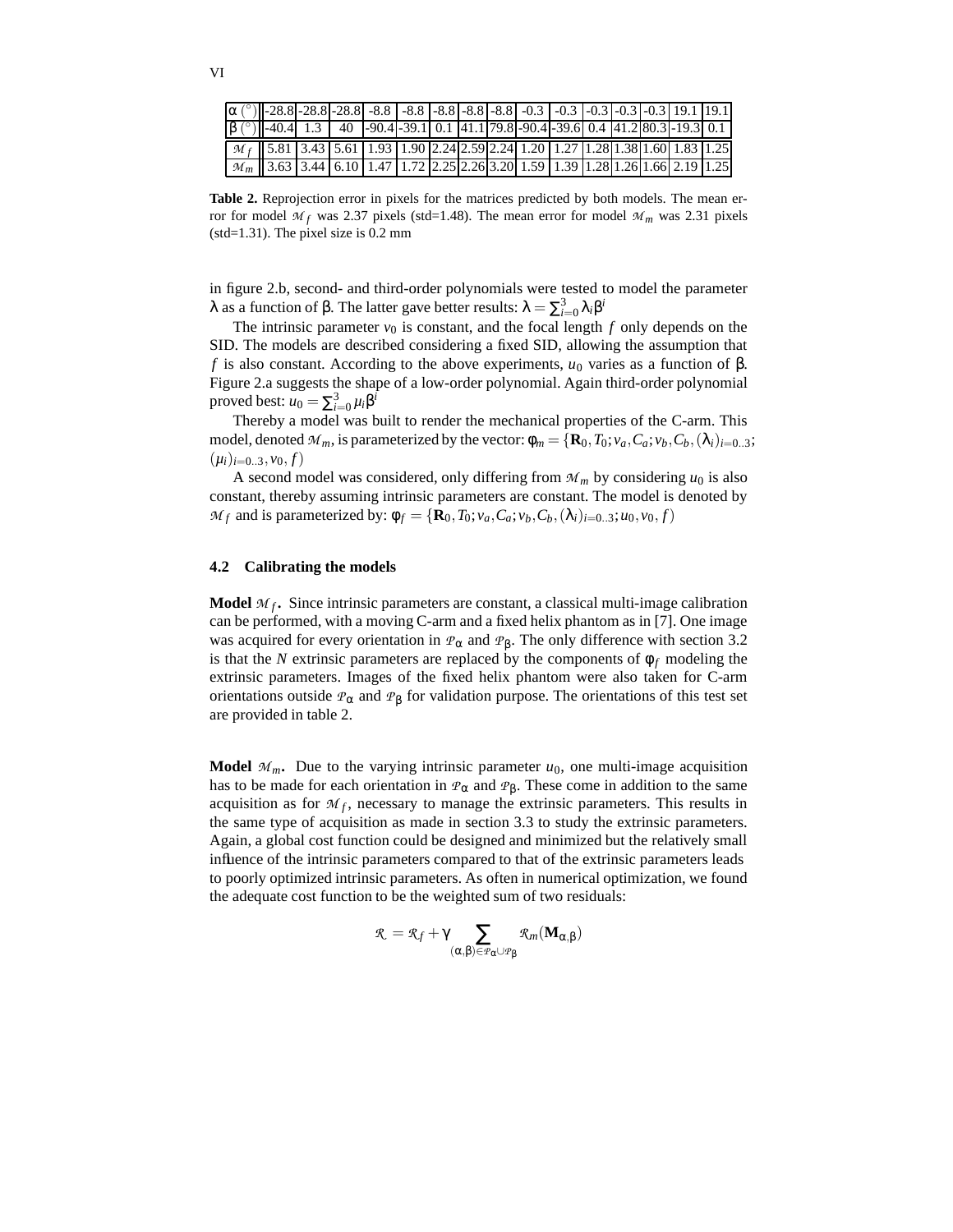|   | i | ٠ |
|---|---|---|
|   |   |   |
| × |   |   |

| $\alpha$ (°) $\sim$ 28.8 - 28.8 - 28.8 - 28.8 - 8.8 - 8.8 - 8.8 - 8.8 - 8.8 - 0.3 - 0.3 - 0.3 - 0.3 - 0.3 - 0.3 - 0.3 - 0.3 - 0.1   19.1 |  |  |  |  |  |  |  |
|------------------------------------------------------------------------------------------------------------------------------------------|--|--|--|--|--|--|--|
| $\left \frac{\beta}{2}\right $ -40.4 1.3 40 -90.4 -39.1 0.1 41.1 79.8 -90.4 -39.6 0.4 41.2 80.3 -19.3 0.1                                |  |  |  |  |  |  |  |
| $\lceil M_f \rceil$ 5.81 3.43 5.61 1.93 1.90 2.24 2.59 2.24 1.20 1.27 1.28 1.38 1.60 1.83 1.25                                           |  |  |  |  |  |  |  |
| $\left  \mathcal{M}_{m} \right $ 3.63   3.44   6.10   1.47   1.72   2.25   2.26   3.20   1.59   1.39   1.28   1.26   1.66   2.19   1.25  |  |  |  |  |  |  |  |

**Table 2.** Reprojection error in pixels for the matrices predicted by both models. The mean error for model  $M_f$  was 2.37 pixels (std=1.48). The mean error for model  $M_m$  was 2.31 pixels (std=1.31). The pixel size is 0.2 mm

in figure 2.b, second- and third-order polynomials were tested to model the parameter λ as a function of β. The latter gave better results:  $\lambda = \sum_{i=0}^{3} \lambda_i \beta^i$ 

The intrinsic parameter  $v_0$  is constant, and the focal length  $f$  only depends on the SID. The models are described considering a fixed SID, allowing the assumption that *f* is also constant. According to the above experiments,  $u_0$  varies as a function of β. Figure 2.a suggests the shape of a low-order polynomial. Again third-order polynomial proved best:  $u_0 = \sum_{i=0}^3 \mu_i \beta^i$ 

Thereby a model was built to render the mechanical properties of the C-arm. This model, denoted  $M_m$ , is parameterized by the vector:  $\phi_m = {\bf R}_0, T_0; v_a, C_a; v_b, C_b, (\lambda_i)_{i=0..3}$ ;  $(\mu_i)_{i=0..3}, \nu_0, f)$ 

A second model was considered, only differing from  $M_m$  by considering  $u_0$  is also constant, thereby assuming intrinsic parameters are constant. The model is denoted by *Mf* and is parameterized by:  $φ$ *f* = {**R**<sub>0</sub>, *T*<sub>0</sub>;*v*<sub>*a*</sub>, *C*<sub>*a*</sub>;*v*<sub>*b*</sub>, *C*<sub>*b*</sub>, (λ<sub>*i*</sub>)<sub>*i*=0..3</sub>;*u*<sub>0</sub>, *v*<sub>0</sub>, *f*)

### **4.2 Calibrating the models**

**Model** *M<sup>f</sup>* **.** Since intrinsic parameters are constant, a classical multi-image calibration can be performed, with a moving C-arm and a fixed helix phantom as in [7]. One image was acquired for every orientation in  $\mathcal{P}_{\alpha}$  and  $\mathcal{P}_{\beta}$ . The only difference with section 3.2 is that the *N* extrinsic parameters are replaced by the components of  $\phi_f$  modeling the extrinsic parameters. Images of the fixed helix phantom were also taken for C-arm orientations outside *P*<sup>α</sup> and *P*<sup>β</sup> for validation purpose. The orientations of this test set are provided in table 2.

**Model**  $M_m$ . Due to the varying intrinsic parameter  $u_0$ , one multi-image acquisition has to be made for each orientation in  $P_\alpha$  and  $P_\beta$ . These come in addition to the same acquisition as for  $M_f$ , necessary to manage the extrinsic parameters. This results in the same type of acquisition as made in section 3.3 to study the extrinsic parameters. Again, a global cost function could be designed and minimized but the relatively small influence of the intrinsic parameters compared to that of the extrinsic parameters leads to poorly optimized intrinsic parameters. As often in numerical optimization, we found the adequate cost function to be the weighted sum of two residuals:

$$
\mathbf{\mathfrak{K}}=\mathbf{\mathfrak{K}}_f+\gamma\sum_{(\alpha,\beta)\in\mathbf{\mathfrak{P}}_\alpha\cup\mathbf{\mathfrak{P}}_\beta}\mathbf{\mathfrak{K}}_m(\mathbf{M}_{\alpha,\beta})
$$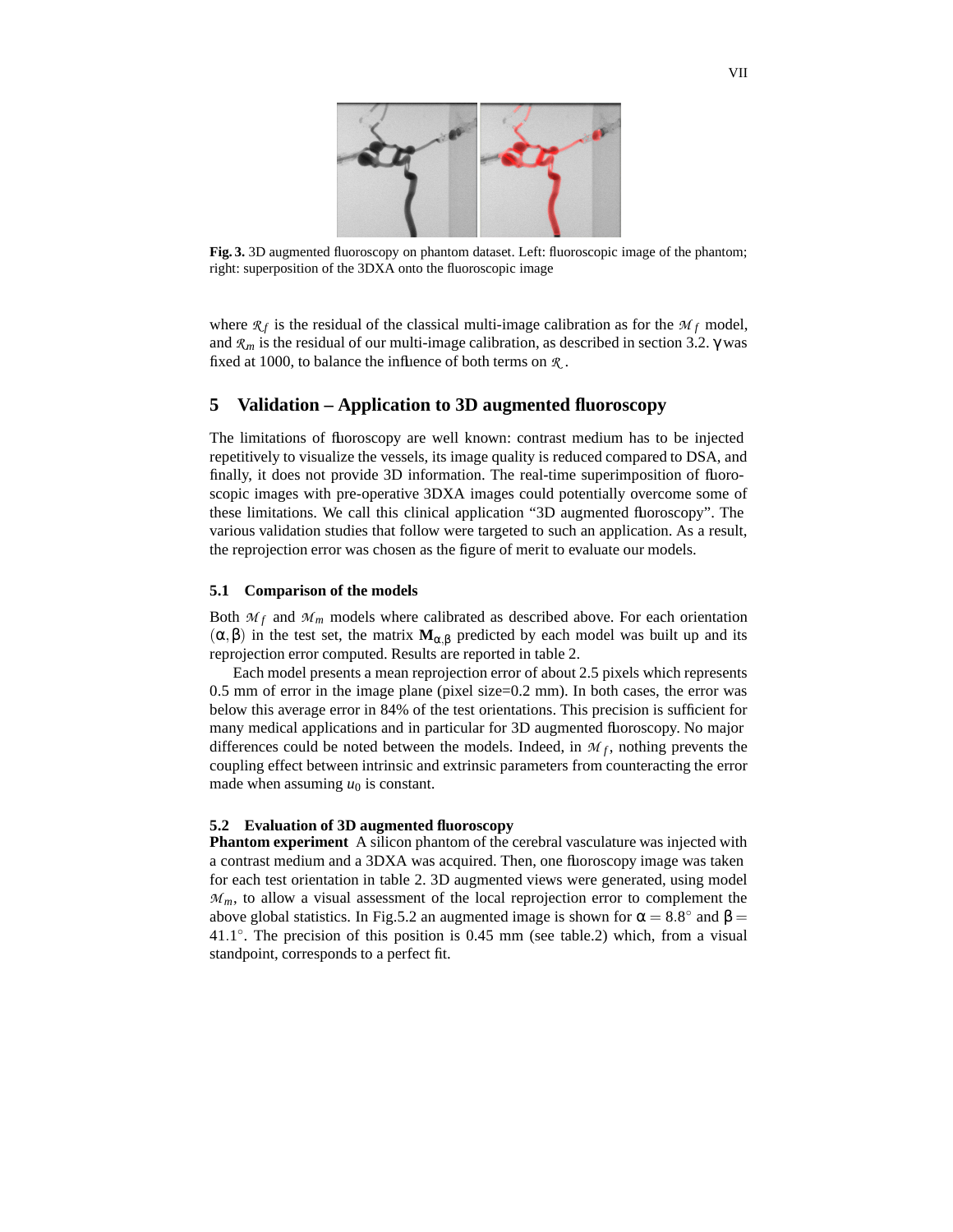

**Fig. 3.** 3D augmented fluoroscopy on phantom dataset. Left: fluoroscopic image of the phantom; right: superposition of the 3DXA onto the fluoroscopic image

where  $\mathcal{R}_f$  is the residual of the classical multi-image calibration as for the  $\mathcal{M}_f$  model, and *R<sup>m</sup>* is the residual of our multi-image calibration, as described in section 3.2. γ was fixed at 1000, to balance the influence of both terms on *R* .

# **5 Validation – Application to 3D augmented fluoroscopy**

The limitations of fluoroscopy are well known: contrast medium has to be injected repetitively to visualize the vessels, its image quality is reduced compared to DSA, and finally, it does not provide 3D information. The real-time superimposition of fluoroscopic images with pre-operative 3DXA images could potentially overcome some of these limitations. We call this clinical application "3D augmented fluoroscopy". The various validation studies that follow were targeted to such an application. As a result, the reprojection error was chosen as the figure of merit to evaluate our models.

### **5.1 Comparison of the models**

Both  $M_f$  and  $M_m$  models where calibrated as described above. For each orientation (α,β) in the test set, the matrix **M**α,<sup>β</sup> predicted by each model was built up and its reprojection error computed. Results are reported in table 2.

Each model presents a mean reprojection error of about 2.5 pixels which represents 0.5 mm of error in the image plane (pixel size=0.2 mm). In both cases, the error was below this average error in 84% of the test orientations. This precision is sufficient for many medical applications and in particular for 3D augmented fluoroscopy. No major differences could be noted between the models. Indeed, in  $M_f$ , nothing prevents the coupling effect between intrinsic and extrinsic parameters from counteracting the error made when assuming  $u_0$  is constant.

#### **5.2 Evaluation of 3D augmented fluoroscopy**

**Phantom experiment** A silicon phantom of the cerebral vasculature was injected with a contrast medium and a 3DXA was acquired. Then, one fluoroscopy image was taken for each test orientation in table 2. 3D augmented views were generated, using model  $M_m$ , to allow a visual assessment of the local reprojection error to complement the above global statistics. In Fig.5.2 an augmented image is shown for  $\alpha = 8.8^{\circ}$  and  $\beta =$ 41.1°. The precision of this position is 0.45 mm (see table.2) which, from a visual standpoint, corresponds to a perfect fit.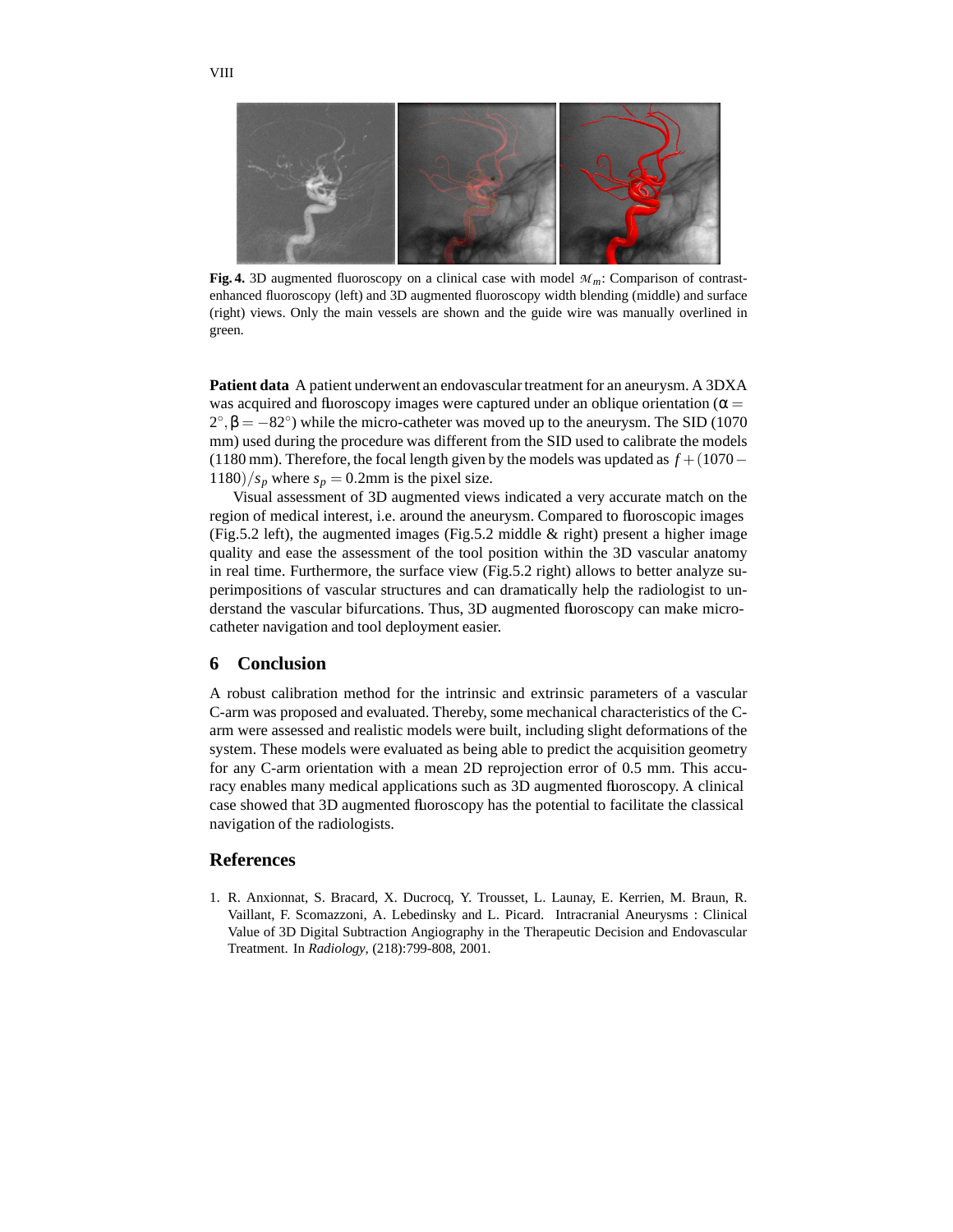

**Fig. 4.** 3D augmented fluoroscopy on a clinical case with model *Mm*: Comparison of contrastenhanced fluoroscopy (left) and 3D augmented fluoroscopy width blending (middle) and surface (right) views. Only the main vessels are shown and the guide wire was manually overlined in green.

**Patient data** A patient underwent an endovascular treatment for an aneurysm. A 3DXA was acquired and fluoroscopy images were captured under an oblique orientation ( $\alpha$  =  $2^{\circ}, \beta = -82^{\circ}$ ) while the micro-catheter was moved up to the aneurysm. The SID (1070) mm) used during the procedure was different from the SID used to calibrate the models (1180 mm). Therefore, the focal length given by the models was updated as *f* +(1070−  $1180$ / $s_p$  where  $s_p = 0.2$ mm is the pixel size.

Visual assessment of 3D augmented views indicated a very accurate match on the region of medical interest, i.e. around the aneurysm. Compared to fluoroscopic images (Fig.5.2 left), the augmented images (Fig.5.2 middle  $\&$  right) present a higher image quality and ease the assessment of the tool position within the 3D vascular anatomy in real time. Furthermore, the surface view (Fig.5.2 right) allows to better analyze superimpositions of vascular structures and can dramatically help the radiologist to understand the vascular bifurcations. Thus, 3D augmented fluoroscopy can make microcatheter navigation and tool deployment easier.

# **6 Conclusion**

A robust calibration method for the intrinsic and extrinsic parameters of a vascular C-arm was proposed and evaluated. Thereby, some mechanical characteristics of the Carm were assessed and realistic models were built, including slight deformations of the system. These models were evaluated as being able to predict the acquisition geometry for any C-arm orientation with a mean 2D reprojection error of 0.5 mm. This accuracy enables many medical applications such as 3D augmented fluoroscopy. A clinical case showed that 3D augmented fluoroscopy has the potential to facilitate the classical navigation of the radiologists.

# **References**

1. R. Anxionnat, S. Bracard, X. Ducrocq, Y. Trousset, L. Launay, E. Kerrien, M. Braun, R. Vaillant, F. Scomazzoni, A. Lebedinsky and L. Picard. Intracranial Aneurysms : Clinical Value of 3D Digital Subtraction Angiography in the Therapeutic Decision and Endovascular Treatment. In *Radiology*, (218):799-808, 2001.